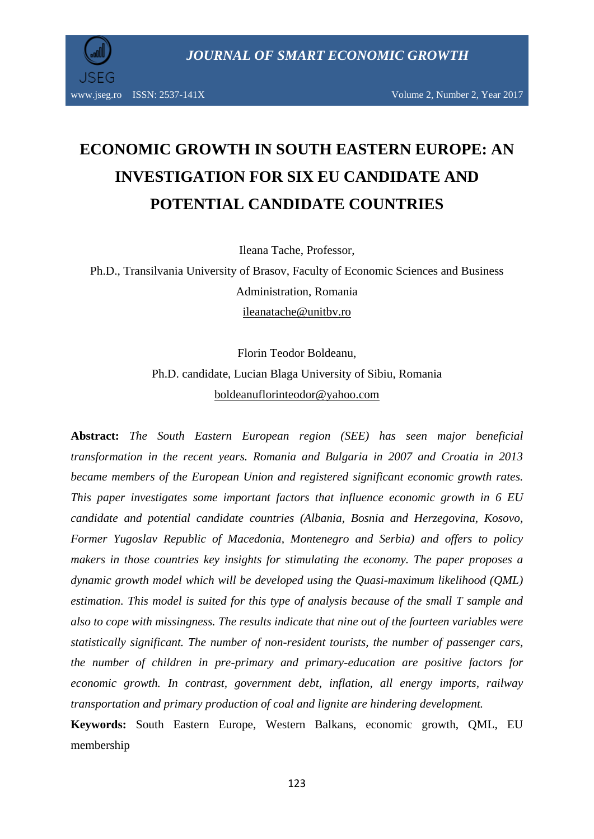

www.jseg.ro ISSN: 2537-141X Volume 2, Number 2, Year 2017

# **ECONOMIC GROWTH IN SOUTH EASTERN EUROPE: AN INVESTIGATION FOR SIX EU CANDIDATE AND POTENTIAL CANDIDATE COUNTRIES**

Ileana Tache, Professor,

Ph.D., Transilvania University of Brasov, Faculty of Economic Sciences and Business Administration, Romania [ileanatache@unitbv.ro](mailto:ileanatache@unitbv.ro)

> Florin Teodor Boldeanu, Ph.D. candidate, Lucian Blaga University of Sibiu, Romania [boldeanuflorinteodor@yahoo.com](mailto:boldeanuflorinteodor@yahoo.com)

**Abstract:** *The South Eastern European region (SEE) has seen major beneficial transformation in the recent years. Romania and Bulgaria in 2007 and Croatia in 2013 became members of the European Union and registered significant economic growth rates. This paper investigates some important factors that influence economic growth in 6 EU candidate and potential candidate countries (Albania, Bosnia and Herzegovina, Kosovo, Former Yugoslav Republic of Macedonia, Montenegro and Serbia) and offers to policy makers in those countries key insights for stimulating the economy. The paper proposes a dynamic growth model which will be developed using the Quasi-maximum likelihood (QML) estimation. This model is suited for this type of analysis because of the small T sample and also to cope with missingness. The results indicate that nine out of the fourteen variables were statistically significant. The number of non-resident tourists, the number of passenger cars, the number of children in pre-primary and primary-education are positive factors for economic growth. In contrast, government debt, inflation, all energy imports, railway transportation and primary production of coal and lignite are hindering development.* 

**Keywords:** South Eastern Europe, Western Balkans, economic growth, QML, EU membership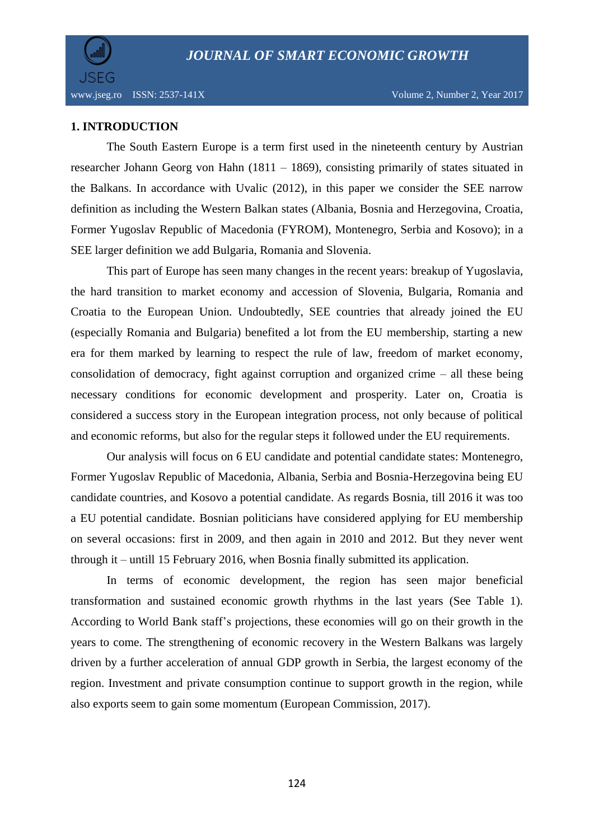

### **1. INTRODUCTION**

The South Eastern Europe is a term first used in the nineteenth century by Austrian researcher Johann Georg von Hahn (1811 – 1869), consisting primarily of states situated in the Balkans. In accordance with Uvalic (2012), in this paper we consider the SEE narrow definition as including the Western Balkan states (Albania, Bosnia and Herzegovina, Croatia, Former Yugoslav Republic of Macedonia (FYROM), Montenegro, Serbia and Kosovo); in a SEE larger definition we add Bulgaria, Romania and Slovenia.

This part of Europe has seen many changes in the recent years: breakup of Yugoslavia, the hard transition to market economy and accession of Slovenia, Bulgaria, Romania and Croatia to the European Union. Undoubtedly, SEE countries that already joined the EU (especially Romania and Bulgaria) benefited a lot from the EU membership, starting a new era for them marked by learning to respect the rule of law, freedom of market economy, consolidation of democracy, fight against corruption and organized crime – all these being necessary conditions for economic development and prosperity. Later on, Croatia is considered a success story in the European integration process, not only because of political and economic reforms, but also for the regular steps it followed under the EU requirements.

Our analysis will focus on 6 EU candidate and potential candidate states: Montenegro, Former Yugoslav Republic of Macedonia, Albania, Serbia and Bosnia-Herzegovina being EU candidate countries, and Kosovo a potential candidate. As regards Bosnia, till 2016 it was too a EU potential candidate. Bosnian politicians have considered applying for EU membership on several occasions: first in 2009, and then again in 2010 and 2012. But they never went through it – untill 15 February 2016, when Bosnia finally submitted its application.

In terms of economic development, the region has seen major beneficial transformation and sustained economic growth rhythms in the last years (See Table 1). According to World Bank staff's projections, these economies will go on their growth in the years to come. The strengthening of economic recovery in the Western Balkans was largely driven by a further acceleration of annual GDP growth in Serbia, the largest economy of the region. Investment and private consumption continue to support growth in the region, while also exports seem to gain some momentum (European Commission, 2017).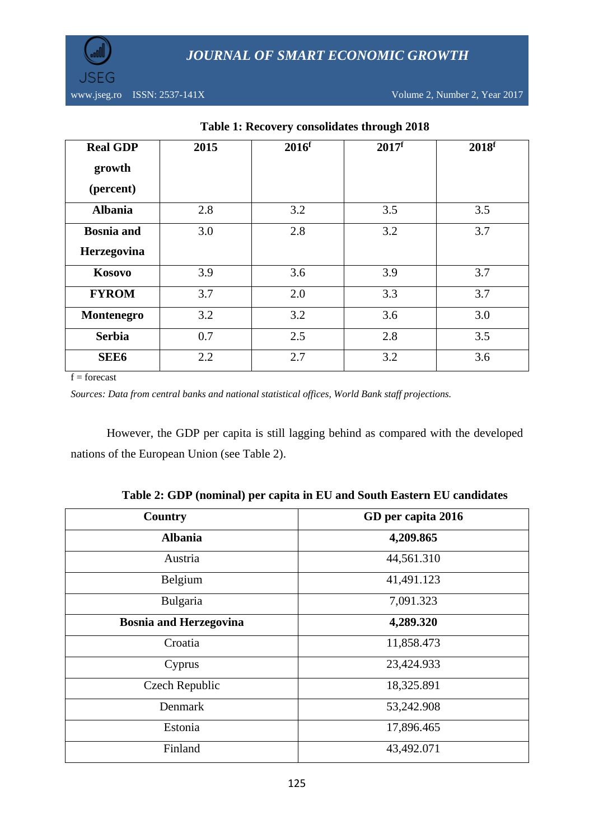



| <b>Real GDP</b><br>growth | 2015 | 2016 <sup>f</sup> | 2017 <sup>f</sup> | 2018 <sup>f</sup> |
|---------------------------|------|-------------------|-------------------|-------------------|
| (percent)                 |      |                   |                   |                   |
| <b>Albania</b>            | 2.8  | 3.2               | 3.5               | 3.5               |
| <b>Bosnia</b> and         | 3.0  | 2.8               | 3.2               | 3.7               |
| Herzegovina               |      |                   |                   |                   |
| Kosovo                    | 3.9  | 3.6               | 3.9               | 3.7               |
| <b>FYROM</b>              | 3.7  | 2.0               | 3.3               | 3.7               |
| Montenegro                | 3.2  | 3.2               | 3.6               | 3.0               |
| <b>Serbia</b>             | 0.7  | 2.5               | 2.8               | 3.5               |
| <b>SEE6</b>               | 2.2  | 2.7               | 3.2               | 3.6               |

## **Table 1: Recovery consolidates through 2018**

 $f =$ forecast

*Sources: Data from central banks and national statistical offices, World Bank staff projections.*

However, the GDP per capita is still lagging behind as compared with the developed nations of the European Union (see Table 2).

| Country                       | GD per capita 2016 |
|-------------------------------|--------------------|
| <b>Albania</b>                | 4,209.865          |
| Austria                       | 44,561.310         |
| Belgium                       | 41,491.123         |
| Bulgaria                      | 7,091.323          |
| <b>Bosnia and Herzegovina</b> | 4,289.320          |
| Croatia                       | 11,858.473         |
| Cyprus                        | 23,424.933         |
| Czech Republic                | 18,325.891         |
| Denmark                       | 53,242.908         |
| Estonia                       | 17,896.465         |
| Finland                       | 43,492.071         |

**Table 2: GDP (nominal) per capita in EU and South Eastern EU candidates**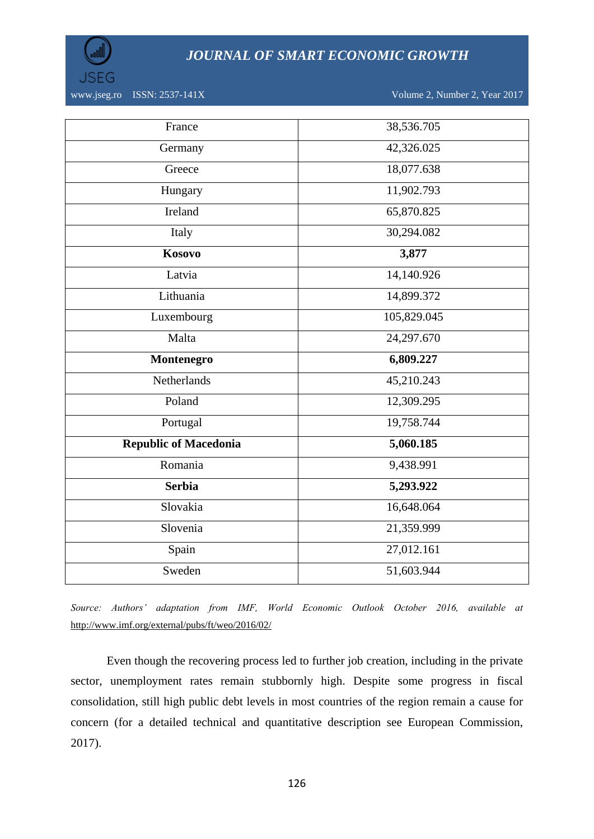

www.jseg.ro ISSN: 2537-141X Volume 2, Number 2, Year 2017

| France                       | 38,536.705  |  |
|------------------------------|-------------|--|
| Germany                      | 42,326.025  |  |
| Greece                       | 18,077.638  |  |
| Hungary                      | 11,902.793  |  |
| Ireland                      | 65,870.825  |  |
| Italy                        | 30,294.082  |  |
| <b>Kosovo</b>                | 3,877       |  |
| Latvia                       | 14,140.926  |  |
| Lithuania                    | 14,899.372  |  |
| Luxembourg                   | 105,829.045 |  |
|                              |             |  |
| Malta                        | 24,297.670  |  |
| Montenegro                   | 6,809.227   |  |
| <b>Netherlands</b>           | 45,210.243  |  |
| Poland                       | 12,309.295  |  |
| Portugal                     | 19,758.744  |  |
| <b>Republic of Macedonia</b> | 5,060.185   |  |
| Romania                      | 9,438.991   |  |
| <b>Serbia</b>                | 5,293.922   |  |
| Slovakia                     | 16,648.064  |  |
| Slovenia                     | 21,359.999  |  |
| Spain                        | 27,012.161  |  |

*Source: Authors' adaptation from IMF, World Economic Outlook October 2016, available at*  <http://www.imf.org/external/pubs/ft/weo/2016/02/>

Even though the recovering process led to further job creation, including in the private sector, unemployment rates remain stubbornly high. Despite some progress in fiscal consolidation, still high public debt levels in most countries of the region remain a cause for concern (for a detailed technical and quantitative description see European Commission, 2017).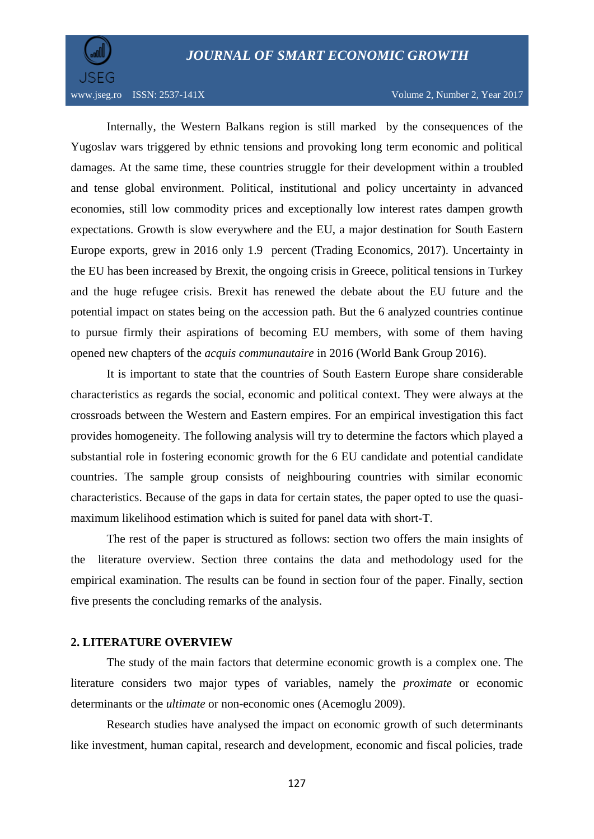

www.jseg.ro ISSN: 2537-141X Volume 2, Number 2, Year 2017

Internally, the Western Balkans region is still marked by the consequences of the Yugoslav wars triggered by ethnic tensions and provoking long term economic and political damages. At the same time, these countries struggle for their development within a troubled and tense global environment. Political, institutional and policy uncertainty in advanced economies, still low commodity prices and exceptionally low interest rates dampen growth expectations. Growth is slow everywhere and the EU, a major destination for South Eastern Europe exports, grew in 2016 only 1.9 percent (Trading Economics, 2017). Uncertainty in the EU has been increased by Brexit, the ongoing crisis in Greece, political tensions in Turkey and the huge refugee crisis. Brexit has renewed the debate about the EU future and the potential impact on states being on the accession path. But the 6 analyzed countries continue to pursue firmly their aspirations of becoming EU members, with some of them having opened new chapters of the *acquis communautaire* in 2016 (World Bank Group 2016).

It is important to state that the countries of South Eastern Europe share considerable characteristics as regards the social, economic and political context. They were always at the crossroads between the Western and Eastern empires. For an empirical investigation this fact provides homogeneity. The following analysis will try to determine the factors which played a substantial role in fostering economic growth for the 6 EU candidate and potential candidate countries. The sample group consists of neighbouring countries with similar economic characteristics. Because of the gaps in data for certain states, the paper opted to use the quasimaximum likelihood estimation which is suited for panel data with short-T.

The rest of the paper is structured as follows: section two offers the main insights of the literature overview. Section three contains the data and methodology used for the empirical examination. The results can be found in section four of the paper. Finally, section five presents the concluding remarks of the analysis.

### **2. LITERATURE OVERVIEW**

The study of the main factors that determine economic growth is a complex one. The literature considers two major types of variables, namely the *proximate* or economic determinants or the *ultimate* or non-economic ones (Acemoglu 2009).

Research studies have analysed the impact on economic growth of such determinants like investment, human capital, research and development, economic and fiscal policies, trade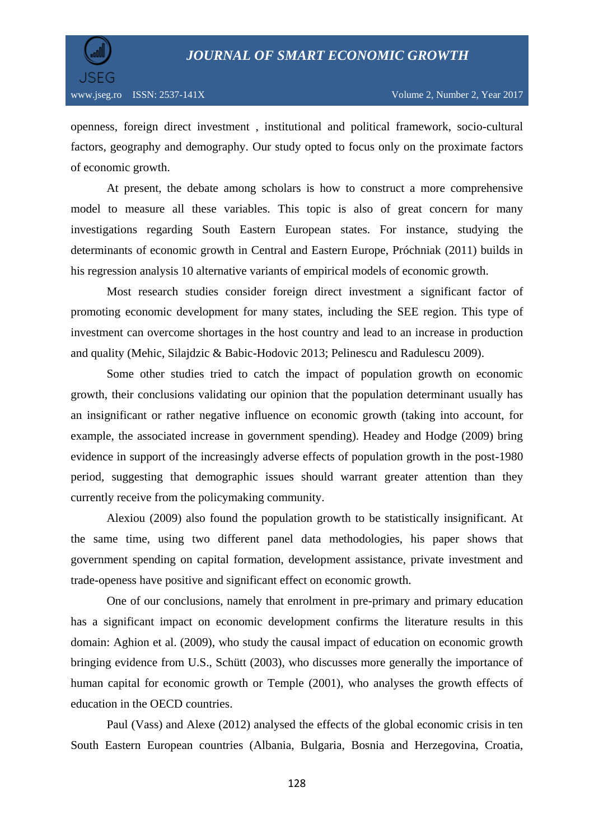

openness, foreign direct investment , institutional and political framework, socio-cultural factors, geography and demography. Our study opted to focus only on the proximate factors of economic growth.

At present, the debate among scholars is how to construct a more comprehensive model to measure all these variables. This topic is also of great concern for many investigations regarding South Eastern European states. For instance, studying the determinants of economic growth in Central and Eastern Europe, Próchniak (2011) builds in his regression analysis 10 alternative variants of empirical models of economic growth.

Most research studies consider foreign direct investment a significant factor of promoting economic development for many states, including the SEE region. This type of investment can overcome shortages in the host country and lead to an increase in production and quality (Mehic, Silajdzic & Babic-Hodovic 2013; Pelinescu and Radulescu 2009).

Some other studies tried to catch the impact of population growth on economic growth, their conclusions validating our opinion that the population determinant usually has an insignificant or rather negative influence on economic growth (taking into account, for example, the associated increase in government spending). Headey and Hodge (2009) bring evidence in support of the increasingly adverse effects of population growth in the post-1980 period, suggesting that demographic issues should warrant greater attention than they currently receive from the policymaking community.

Alexiou (2009) also found the population growth to be statistically insignificant. At the same time, using two different panel data methodologies, his paper shows that government spending on capital formation, development assistance, private investment and trade-openess have positive and significant effect on economic growth.

One of our conclusions, namely that enrolment in pre-primary and primary education has a significant impact on economic development confirms the literature results in this domain: Aghion et al. (2009), who study the causal impact of education on economic growth bringing evidence from U.S., Schütt (2003), who discusses more generally the importance of human capital for economic growth or Temple (2001), who analyses the growth effects of education in the OECD countries.

Paul (Vass) and Alexe (2012) analysed the effects of the global economic crisis in ten South Eastern European countries (Albania, Bulgaria, Bosnia and Herzegovina, Croatia,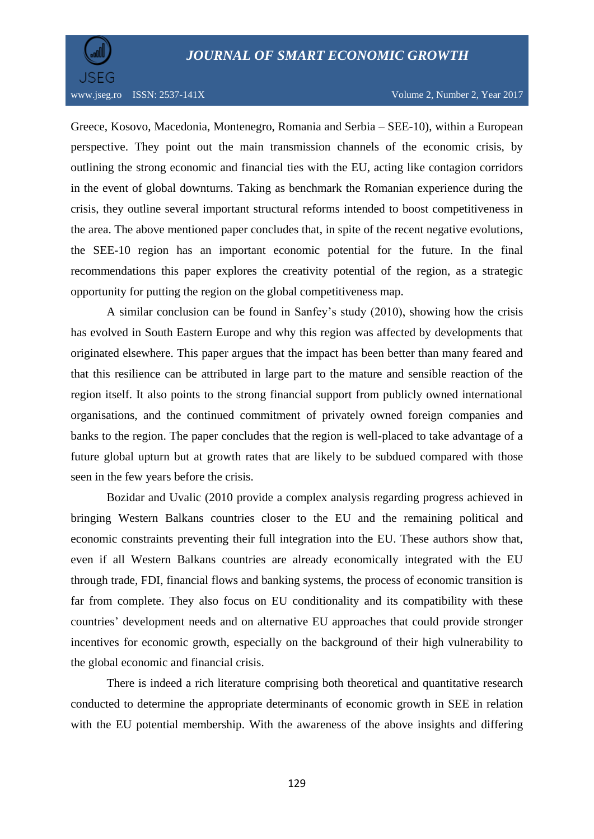

www.jseg.ro ISSN: 2537-141X Volume 2, Number 2, Year 2017

Greece, Kosovo, Macedonia, Montenegro, Romania and Serbia – SEE-10), within a European perspective. They point out the main transmission channels of the economic crisis, by outlining the strong economic and financial ties with the EU, acting like contagion corridors in the event of global downturns. Taking as benchmark the Romanian experience during the crisis, they outline several important structural reforms intended to boost competitiveness in the area. The above mentioned paper concludes that, in spite of the recent negative evolutions, the SEE-10 region has an important economic potential for the future. In the final recommendations this paper explores the creativity potential of the region, as a strategic opportunity for putting the region on the global competitiveness map.

A similar conclusion can be found in Sanfey's study (2010), showing how the crisis has evolved in South Eastern Europe and why this region was affected by developments that originated elsewhere. This paper argues that the impact has been better than many feared and that this resilience can be attributed in large part to the mature and sensible reaction of the region itself. It also points to the strong financial support from publicly owned international organisations, and the continued commitment of privately owned foreign companies and banks to the region. The paper concludes that the region is well-placed to take advantage of a future global upturn but at growth rates that are likely to be subdued compared with those seen in the few years before the crisis.

Bozidar and Uvalic (2010 provide a complex analysis regarding progress achieved in bringing Western Balkans countries closer to the EU and the remaining political and economic constraints preventing their full integration into the EU. These authors show that, even if all Western Balkans countries are already economically integrated with the EU through trade, FDI, financial flows and banking systems, the process of economic transition is far from complete. They also focus on EU conditionality and its compatibility with these countries' development needs and on alternative EU approaches that could provide stronger incentives for economic growth, especially on the background of their high vulnerability to the global economic and financial crisis.

There is indeed a rich literature comprising both theoretical and quantitative research conducted to determine the appropriate determinants of economic growth in SEE in relation with the EU potential membership. With the awareness of the above insights and differing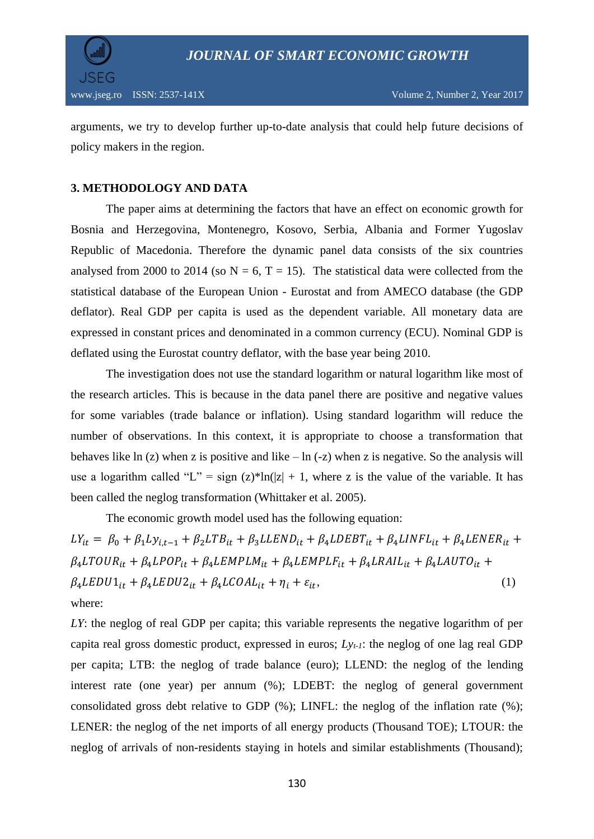

arguments, we try to develop further up-to-date analysis that could help future decisions of policy makers in the region.

### **3. METHODOLOGY AND DATA**

The paper aims at determining the factors that have an effect on economic growth for Bosnia and Herzegovina, Montenegro, Kosovo, Serbia, Albania and Former Yugoslav Republic of Macedonia. Therefore the dynamic panel data consists of the six countries analysed from 2000 to 2014 (so  $N = 6$ , T = 15). The statistical data were collected from the statistical database of the European Union - Eurostat and from AMECO database (the GDP deflator). Real GDP per capita is used as the dependent variable. All monetary data are expressed in constant prices and denominated in a common currency (ECU). Nominal GDP is deflated using the Eurostat country deflator, with the base year being 2010.

The investigation does not use the standard logarithm or natural logarithm like most of the research articles. This is because in the data panel there are positive and negative values for some variables (trade balance or inflation). Using standard logarithm will reduce the number of observations. In this context, it is appropriate to choose a transformation that behaves like ln (z) when z is positive and like  $-\ln(-z)$  when z is negative. So the analysis will use a logarithm called "L" = sign (z)\*ln(|z| + 1, where z is the value of the variable. It has been called the neglog transformation (Whittaker et al. 2005).

The economic growth model used has the following equation:

 $LY_{it} = \beta_0 + \beta_1 Ly_{it-1} + \beta_2 LTB_{it} + \beta_3 LLEND_{it} + \beta_4 LDEBT_{it} + \beta_4 LINFL_{it} + \beta_4 LENER_{it} +$  $\beta_4 LTOUR_{it} + \beta_4 LPOP_{it} + \beta_4 LEMPLM_{it} + \beta_4 LEMPLF_{it} + \beta_4 LRAIL_{it} + \beta_4 LAUTO_{it} +$  $\beta_4 LEDU1_{it} + \beta_4 LEDU2_{it} + \beta_4 LCOAL_{it} + \eta_i + \varepsilon_{it},$  (1) where:

*LY*: the neglog of real GDP per capita; this variable represents the negative logarithm of per capita real gross domestic product, expressed in euros; *Lyt-1*: the neglog of one lag real GDP per capita; LTB: the neglog of trade balance (euro); LLEND: the neglog of the lending interest rate (one year) per annum (%); LDEBT: the neglog of general government consolidated gross debt relative to GDP (%); LINFL: the neglog of the inflation rate (%); LENER: the neglog of the net imports of all energy products (Thousand TOE); LTOUR: the neglog of arrivals of non-residents staying in hotels and similar establishments (Thousand);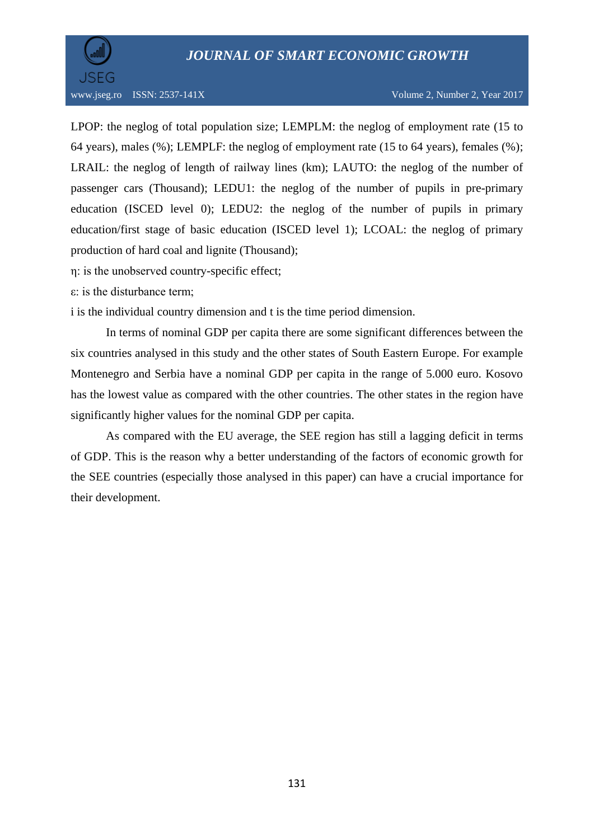

LPOP: the neglog of total population size; LEMPLM: the neglog of employment rate (15 to 64 years), males (%); LEMPLF: the neglog of employment rate (15 to 64 years), females (%); LRAIL: the neglog of length of railway lines (km); LAUTO: the neglog of the number of passenger cars (Thousand); LEDU1: the neglog of the number of pupils in pre-primary education (ISCED level 0); LEDU2: the neglog of the number of pupils in primary education/first stage of basic education (ISCED level 1); LCOAL: the neglog of primary production of hard coal and lignite (Thousand);

- η: is the unobserved country-specific effect;
- ε: is the disturbance term;

i is the individual country dimension and t is the time period dimension.

In terms of nominal GDP per capita there are some significant differences between the six countries analysed in this study and the other states of South Eastern Europe. For example Montenegro and Serbia have a nominal GDP per capita in the range of 5.000 euro. Kosovo has the lowest value as compared with the other countries. The other states in the region have significantly higher values for the nominal GDP per capita.

As compared with the EU average, the SEE region has still a lagging deficit in terms of GDP. This is the reason why a better understanding of the factors of economic growth for the SEE countries (especially those analysed in this paper) can have a crucial importance for their development.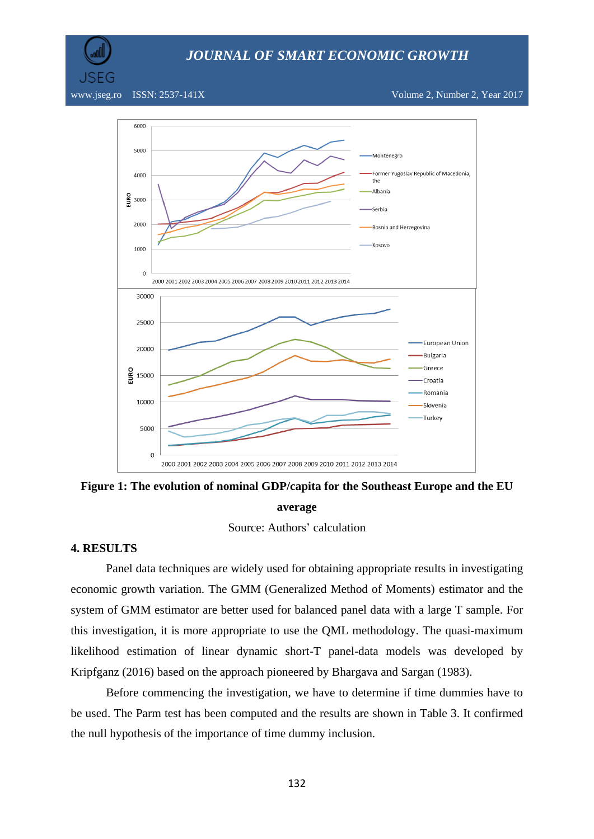SEG

www.jseg.ro ISSN: 2537-141X Volume 2, Number 2, Year 2017





#### **average**

Source: Authors' calculation

#### **4. RESULTS**

Panel data techniques are widely used for obtaining appropriate results in investigating economic growth variation. The GMM (Generalized Method of Moments) estimator and the system of GMM estimator are better used for balanced panel data with a large T sample. For this investigation, it is more appropriate to use the QML methodology. The quasi-maximum likelihood estimation of linear dynamic short-T panel-data models was developed by [Kripfganz \(2016\)](http://www.kripfganz.de/stata/index.html) based on the approach pioneered by Bhargava and Sargan (1983).

Before commencing the investigation, we have to determine if time dummies have to be used. The Parm test has been computed and the results are shown in Table 3. It confirmed the null hypothesis of the importance of time dummy inclusion.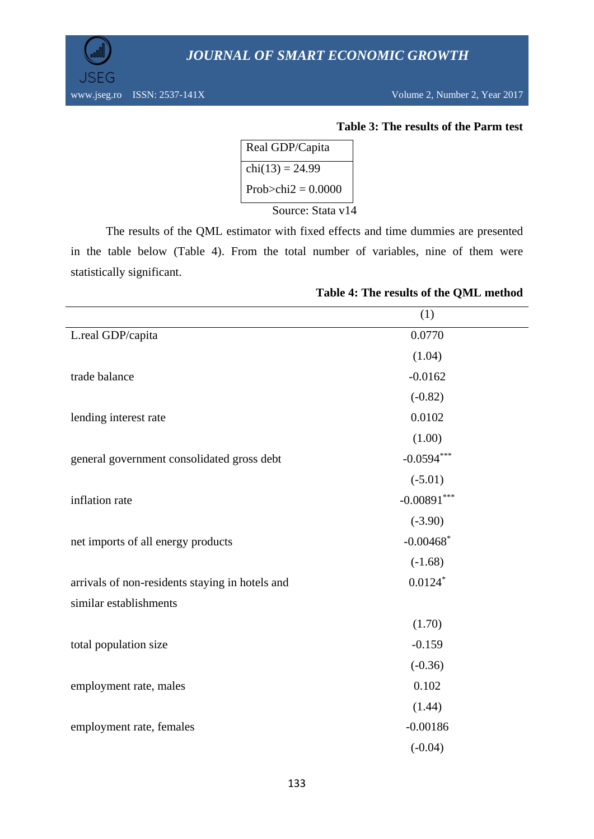www.jseg.ro ISSN: 2537-141X Volume 2, Number 2, Year 2017

JSEG

### **Table 3: The results of the Parm test**

| Real GDP/Capita      |  |
|----------------------|--|
| $chi(13) = 24.99$    |  |
| Prob>chi2 = $0.0000$ |  |
| Source: Stata v14    |  |

The results of the QML estimator with fixed effects and time dummies are presented in the table below (Table 4). From the total number of variables, nine of them were statistically significant.

|                                                 | (1)                     |
|-------------------------------------------------|-------------------------|
| L.real GDP/capita                               | 0.0770                  |
|                                                 | (1.04)                  |
| trade balance                                   | $-0.0162$               |
|                                                 | $(-0.82)$               |
| lending interest rate                           | 0.0102                  |
|                                                 | (1.00)                  |
| general government consolidated gross debt      | $-0.0594***$            |
|                                                 | $(-5.01)$               |
| inflation rate                                  | $-0.00891***$           |
|                                                 | $(-3.90)$               |
| net imports of all energy products              | $-0.00468$ <sup>*</sup> |
|                                                 | $(-1.68)$               |
| arrivals of non-residents staying in hotels and | $0.0124$ *              |
| similar establishments                          |                         |
|                                                 | (1.70)                  |
| total population size                           | $-0.159$                |
|                                                 | $(-0.36)$               |
| employment rate, males                          | 0.102                   |
|                                                 | (1.44)                  |
| employment rate, females                        | $-0.00186$              |
|                                                 | $(-0.04)$               |

### **Table 4: The results of the QML method**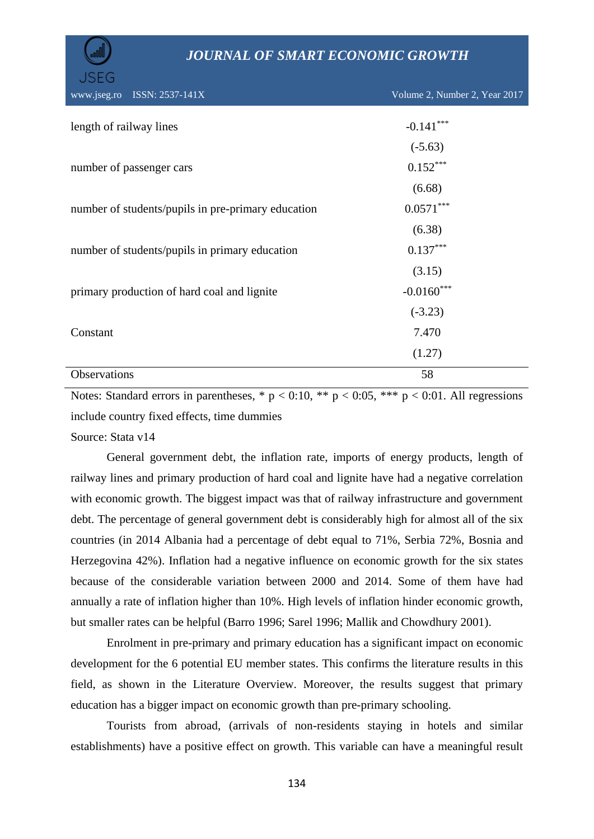| رااااس                     | <b>JOURNAL OF SMART ECONOMIC GROWTH</b>            |                               |  |
|----------------------------|----------------------------------------------------|-------------------------------|--|
| <b>JSEG</b><br>www.jseg.ro | ISSN: 2537-141X                                    | Volume 2, Number 2, Year 2017 |  |
|                            |                                                    |                               |  |
| length of railway lines    |                                                    | $-0.141***$                   |  |
|                            |                                                    | $(-5.63)$                     |  |
|                            | number of passenger cars                           | $0.152***$                    |  |
|                            |                                                    | (6.68)                        |  |
|                            | number of students/pupils in pre-primary education | $0.0571***$                   |  |
|                            |                                                    | (6.38)                        |  |
|                            | number of students/pupils in primary education     | $0.137***$                    |  |
|                            |                                                    | (3.15)                        |  |
|                            | primary production of hard coal and lignite        | $-0.0160$ ***                 |  |
|                            |                                                    | $(-3.23)$                     |  |
| Constant                   |                                                    | 7.470                         |  |
|                            |                                                    | (1.27)                        |  |
| Observations               |                                                    | 58                            |  |

Notes: Standard errors in parentheses,  $* p < 0.10$ ,  $** p < 0.05$ ,  $*** p < 0.01$ . All regressions include country fixed effects, time dummies

Source: Stata v14

General government debt, the inflation rate, imports of energy products, length of railway lines and primary production of hard coal and lignite have had a negative correlation with economic growth. The biggest impact was that of railway infrastructure and government debt. The percentage of general government debt is considerably high for almost all of the six countries (in 2014 Albania had a percentage of debt equal to 71%, Serbia 72%, Bosnia and Herzegovina 42%). Inflation had a negative influence on economic growth for the six states because of the considerable variation between 2000 and 2014. Some of them have had annually a rate of inflation higher than 10%. High levels of inflation hinder economic growth, but smaller rates can be helpful (Barro 1996; Sarel 1996; Mallik and Chowdhury 2001).

Enrolment in pre-primary and primary education has a significant impact on economic development for the 6 potential EU member states. This confirms the literature results in this field, as shown in the Literature Overview. Moreover, the results suggest that primary education has a bigger impact on economic growth than pre-primary schooling.

Tourists from abroad, (arrivals of non-residents staying in hotels and similar establishments) have a positive effect on growth. This variable can have a meaningful result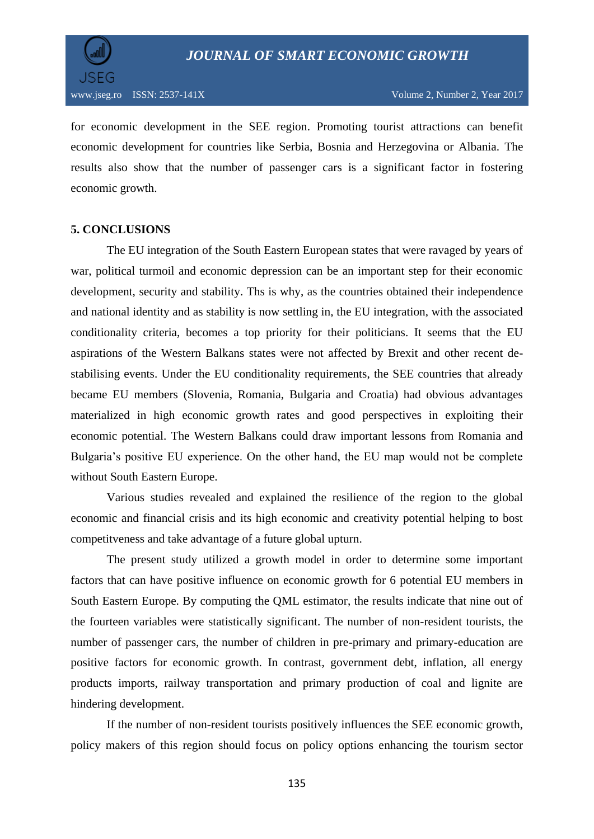

for economic development in the SEE region. Promoting tourist attractions can benefit economic development for countries like Serbia, Bosnia and Herzegovina or Albania. The results also show that the number of passenger cars is a significant factor in fostering economic growth.

### **5. CONCLUSIONS**

The EU integration of the South Eastern European states that were ravaged by years of war, political turmoil and economic depression can be an important step for their economic development, security and stability. Ths is why, as the countries obtained their independence and national identity and as stability is now settling in, the EU integration, with the associated conditionality criteria, becomes a top priority for their politicians. It seems that the EU aspirations of the Western Balkans states were not affected by Brexit and other recent destabilising events. Under the EU conditionality requirements, the SEE countries that already became EU members (Slovenia, Romania, Bulgaria and Croatia) had obvious advantages materialized in high economic growth rates and good perspectives in exploiting their economic potential. The Western Balkans could draw important lessons from Romania and Bulgaria's positive EU experience. On the other hand, the EU map would not be complete without South Eastern Europe.

Various studies revealed and explained the resilience of the region to the global economic and financial crisis and its high economic and creativity potential helping to bost competitveness and take advantage of a future global upturn.

The present study utilized a growth model in order to determine some important factors that can have positive influence on economic growth for 6 potential EU members in South Eastern Europe. By computing the QML estimator, the results indicate that nine out of the fourteen variables were statistically significant. The number of non-resident tourists, the number of passenger cars, the number of children in pre-primary and primary-education are positive factors for economic growth. In contrast, government debt, inflation, all energy products imports, railway transportation and primary production of coal and lignite are hindering development.

If the number of non-resident tourists positively influences the SEE economic growth, policy makers of this region should focus on policy options enhancing the tourism sector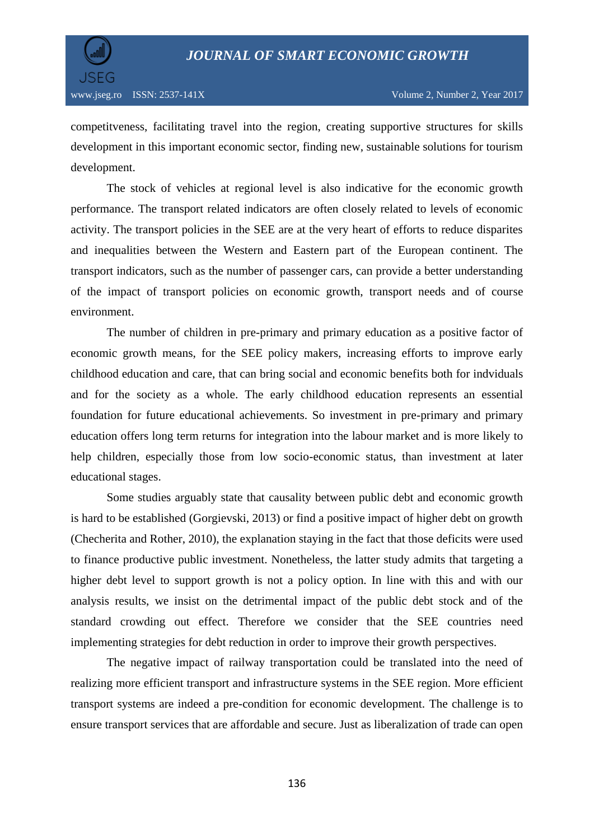

competitveness, facilitating travel into the region, creating supportive structures for skills development in this important economic sector, finding new, sustainable solutions for tourism development.

The stock of vehicles at regional level is also indicative for the economic growth performance. The transport related indicators are often closely related to levels of economic activity. The transport policies in the SEE are at the very heart of efforts to reduce disparites and inequalities between the Western and Eastern part of the European continent. The transport indicators, such as the number of passenger cars, can provide a better understanding of the impact of transport policies on economic growth, transport needs and of course environment.

The number of children in pre-primary and primary education as a positive factor of economic growth means, for the SEE policy makers, increasing efforts to improve early childhood education and care, that can bring social and economic benefits both for indviduals and for the society as a whole. The early childhood education represents an essential foundation for future educational achievements. So investment in pre-primary and primary education offers long term returns for integration into the labour market and is more likely to help children, especially those from low socio-economic status, than investment at later educational stages.

Some studies arguably state that causality between public debt and economic growth is hard to be established (Gorgievski, 2013) or find a positive impact of higher debt on growth (Checherita and Rother, 2010), the explanation staying in the fact that those deficits were used to finance productive public investment. Nonetheless, the latter study admits that targeting a higher debt level to support growth is not a policy option. In line with this and with our analysis results, we insist on the detrimental impact of the public debt stock and of the standard crowding out effect. Therefore we consider that the SEE countries need implementing strategies for debt reduction in order to improve their growth perspectives.

The negative impact of railway transportation could be translated into the need of realizing more efficient transport and infrastructure systems in the SEE region. More efficient transport systems are indeed a pre-condition for economic development. The challenge is to ensure transport services that are affordable and secure. Just as liberalization of trade can open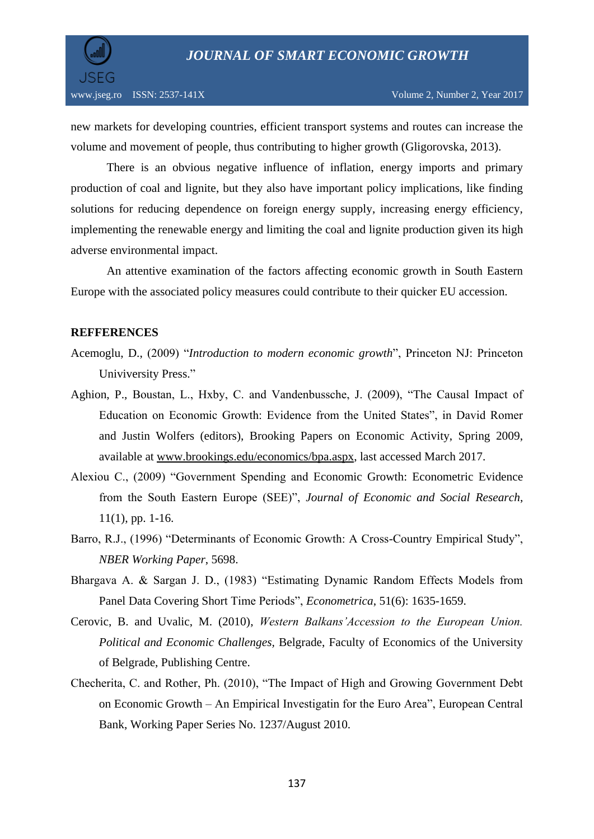

new markets for developing countries, efficient transport systems and routes can increase the volume and movement of people, thus contributing to higher growth (Gligorovska, 2013).

There is an obvious negative influence of inflation, energy imports and primary production of coal and lignite, but they also have important policy implications, like finding solutions for reducing dependence on foreign energy supply, increasing energy efficiency, implementing the renewable energy and limiting the coal and lignite production given its high adverse environmental impact.

An attentive examination of the factors affecting economic growth in South Eastern Europe with the associated policy measures could contribute to their quicker EU accession.

### **REFFERENCES**

- Acemoglu, D., (2009) "*Introduction to modern economic growth*", Princeton NJ: Princeton Univiversity Press."
- Aghion, P., Boustan, L., Hxby, C. and Vandenbussche, J. (2009), "The Causal Impact of Education on Economic Growth: Evidence from the United States", in David Romer and Justin Wolfers (editors), Brooking Papers on Economic Activity, Spring 2009, available at [www.brookings.edu/economics/bpa.aspx,](http://www.brookings.edu/economics/bpa.aspx) last accessed March 2017.
- Alexiou C., (2009) "Government Spending and Economic Growth: Econometric Evidence from the South Eastern Europe (SEE)", *Journal of Economic and Social Research*, 11(1), pp. 1-16.
- Barro, R.J., (1996) "Determinants of Economic Growth: A Cross-Country Empirical Study", *NBER Working Paper*, 5698.
- Bhargava A. & Sargan J. D., (1983) "Estimating Dynamic Random Effects Models from Panel Data Covering Short Time Periods", *Econometrica*, 51(6): 1635-1659.
- Cerovic, B. and Uvalic, M. (2010), *Western Balkans'Accession to the European Union. Political and Economic Challenges,* Belgrade, Faculty of Economics of the University of Belgrade, Publishing Centre.
- Checherita, C. and Rother, Ph. (2010), "The Impact of High and Growing Government Debt on Economic Growth – An Empirical Investigatin for the Euro Area", European Central Bank, Working Paper Series No. 1237/August 2010.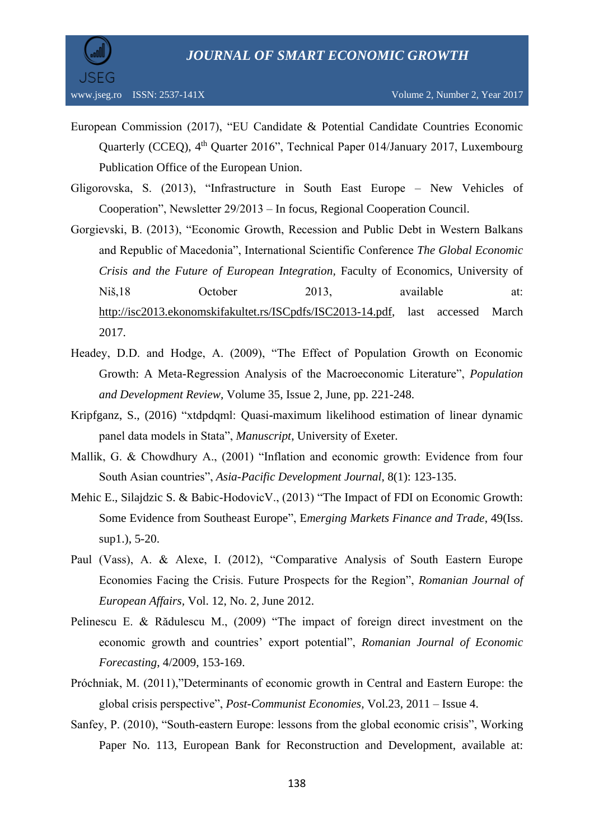

- European Commission (2017), "EU Candidate & Potential Candidate Countries Economic Quarterly (CCEQ), 4<sup>th</sup> Quarter 2016", Technical Paper 014/January 2017, Luxembourg Publication Office of the European Union.
- Gligorovska, S. (2013), "Infrastructure in South East Europe New Vehicles of Cooperation", Newsletter 29/2013 – In focus, Regional Cooperation Council.
- Gorgievski, B. (2013), "Economic Growth, Recession and Public Debt in Western Balkans and Republic of Macedonia", International Scientific Conference *The Global Economic Crisis and the Future of European Integration,* Faculty of Economics, University of Niš,18 October 2013, available at: [http://isc2013.ekonomskifakultet.rs/ISCpdfs/ISC2013-14.pdf,](http://isc2013.ekonomskifakultet.rs/ISCpdfs/ISC2013-14.pdf) last accessed March 2017.
- Headey, D.D. and Hodge, A. (2009), "The Effect of Population Growth on Economic Growth: A Meta-Regression Analysis of the Macroeconomic Literature", *Population and Development Review,* Volume 35, Issue 2, June, pp. 221-248.
- Kripfganz, S., (2016) "xtdpdqml: Quasi-maximum likelihood estimation of linear dynamic panel data models in Stata", *Manuscript*, University of Exeter.
- Mallik, G. & Chowdhury A., (2001) "Inflation and economic growth: Evidence from four South Asian countries", *Asia-Pacific Development Journal*, 8(1): 123-135.
- Mehic E., Silajdzic S. & Babic-HodovicV., (2013) ["The Impact of FDI on Economic Growth:](http://www.tandfonline.com/doi/abs/10.2753/REE1540-496X4901S101)  [Some Evidence from Southeast Europe"](http://www.tandfonline.com/doi/abs/10.2753/REE1540-496X4901S101), E*[merging Markets Finance and Trade](http://www.tandfonline.com/toc/mree20/49/sup1)*, 49(Iss. sup1.), 5-20.
- Paul (Vass), A. & Alexe, I. (2012), "Comparative Analysis of South Eastern Europe Economies Facing the Crisis. Future Prospects for the Region", *Romanian Journal of European Affairs,* Vol. 12, No. 2, June 2012.
- Pelinescu E. & Rădulescu M., (2009) "The impact of foreign direct investment on the economic growth and countries' export potential", *Romanian Journal of Economic Forecasting*, 4/2009, 153-169.
- Próchniak, M. (2011),"Determinants of economic growth in Central and Eastern Europe: the global crisis perspective", *Post-Communist Economies,* Vol.23, 2011 – Issue 4.
- Sanfey, P. (2010), "South-eastern Europe: lessons from the global economic crisis", Working Paper No. 113, European Bank for Reconstruction and Development, available at: